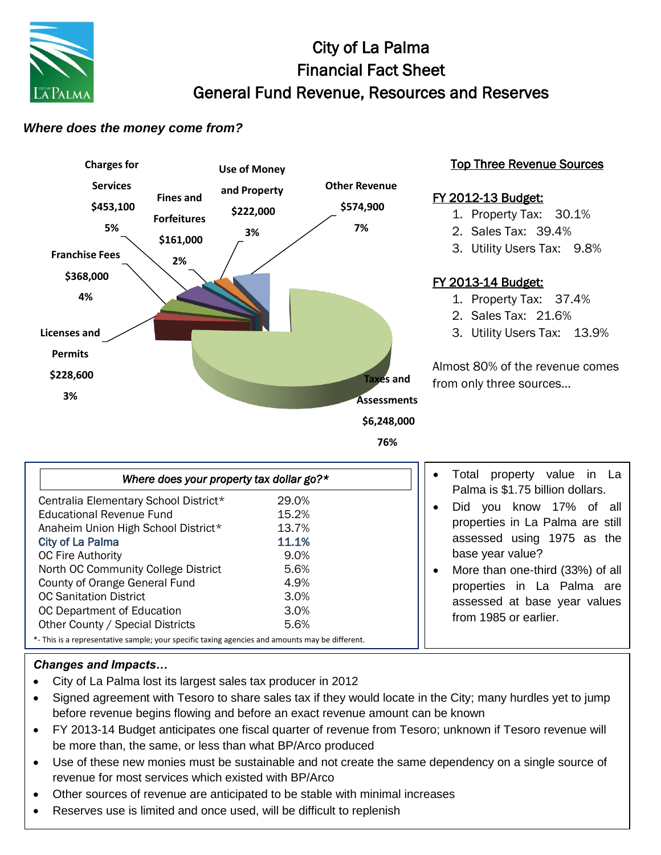

# City of La Palma Financial Fact Sheet General Fund Revenue, Resources and Reserves

### *Where does the money come from?*



#### Top Three Revenue Sources

### FY 2012-13 Budget:

- 1. Property Tax: 30.1%
- 2. Sales Tax: 39.4%
- 3. Utility Users Tax: 9.8%

## FY 2013-14 Budget:

- 1. Property Tax: 37.4%
- 2. Sales Tax: 21.6%
- 3. Utility Users Tax: 13.9%

Almost 80% of the revenue comes from only three sources…

| \$6,248,000 |  |
|-------------|--|
|-------------|--|

**76%**

| Where does your property tax dollar go?*                                                        |       |  |
|-------------------------------------------------------------------------------------------------|-------|--|
| Centralia Elementary School District*                                                           | 29.0% |  |
| Educational Revenue Fund                                                                        | 15.2% |  |
| Anaheim Union High School District*                                                             | 13.7% |  |
| <b>City of La Palma</b>                                                                         | 11.1% |  |
| <b>OC Fire Authority</b>                                                                        | 9.0%  |  |
| North OC Community College District                                                             | 5.6%  |  |
| County of Orange General Fund                                                                   | 4.9%  |  |
| <b>OC Sanitation District</b>                                                                   | 3.0%  |  |
| OC Department of Education                                                                      | 3.0%  |  |
| Other County / Special Districts                                                                | 5.6%  |  |
| *- This is a representative sample; your specific taxing agencies and amounts may be different. |       |  |

- Total property value in La Palma is \$1.75 billion dollars.
- Did you know 17% of all properties in La Palma are still assessed using 1975 as the base year value?
- More than one-third (33%) of all properties in La Palma are assessed at base year values from 1985 or earlier.

### *Changes and Impacts…*

- City of La Palma lost its largest sales tax producer in 2012
- Signed agreement with Tesoro to share sales tax if they would locate in the City; many hurdles yet to jump before revenue begins flowing and before an exact revenue amount can be known
- FY 2013-14 Budget anticipates one fiscal quarter of revenue from Tesoro; unknown if Tesoro revenue will be more than, the same, or less than what BP/Arco produced
- Use of these new monies must be sustainable and not create the same dependency on a single source of revenue for most services which existed with BP/Arco
- Other sources of revenue are anticipated to be stable with minimal increases
- Reserves use is limited and once used, will be difficult to replenish